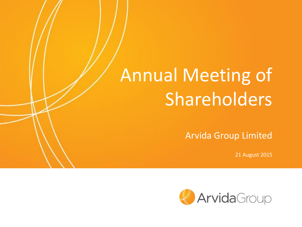# Annual Meeting of Shareholders

Arvida Group Limited

21 August 2015

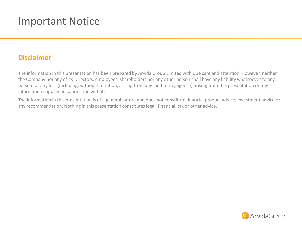## Important Notice

#### **Disclaimer**

The information in this presentation has been prepared by Arvida Group Limited with due care and attention. However, neither the Company nor any of its Directors, employees, shareholders nor any other person shall have any liability whatsoever to any person for any loss (including, without limitation, arising from any fault or negligence) arising from this presentation or any information supplied in connection with it.

The information in this presentation is of a general nature and does not constitute financial product advice, investment advice or any recommendation. Nothing in this presentation constitutes legal, financial, tax or other advice.

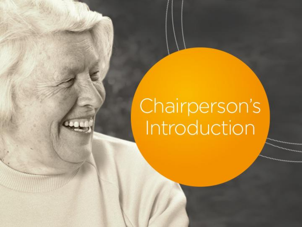# Chairperson's<br>Introduction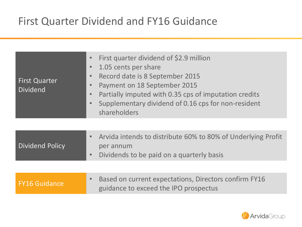# First Quarter Dividend and FY16 Guidance

| First Quarter<br><b>Dividend</b> | First quarter dividend of \$2.9 million<br>$\bullet$<br>1.05 cents per share<br>$\bullet$<br>Record date is 8 September 2015<br>$\bullet$<br>Payment on 18 September 2015<br>$\bullet$<br>Partially imputed with 0.35 cps of imputation credits<br>$\bullet$<br>Supplementary dividend of 0.16 cps for non-resident<br>shareholders |
|----------------------------------|-------------------------------------------------------------------------------------------------------------------------------------------------------------------------------------------------------------------------------------------------------------------------------------------------------------------------------------|
|                                  |                                                                                                                                                                                                                                                                                                                                     |
| <b>Dividend Policy</b>           | Arvida intends to distribute 60% to 80% of Underlying Profit<br>$\bullet$<br>per annum<br>Dividends to be paid on a quarterly basis<br>$\bullet$                                                                                                                                                                                    |
|                                  |                                                                                                                                                                                                                                                                                                                                     |
| <b>FY16 Guidance</b>             | Based on current expectations, Directors confirm FY16<br>$\bullet$<br>guidance to exceed the IPO prospectus                                                                                                                                                                                                                         |
|                                  |                                                                                                                                                                                                                                                                                                                                     |

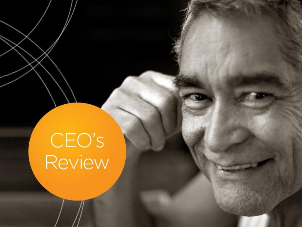# CEO's<br>Review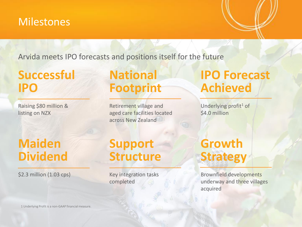#### **Milestones**

Arvida meets IPO forecasts and positions itself for the future

# **Successful IPO**

Raising \$80 million & listing on NZX

# **Maiden Dividend**

\$2.3 million (1.03 cps)

# **National Footprint**

Retirement village and aged care facilities located across New Zealand

# **IPO Forecast Achieved**

Underlying profit<sup>1</sup> of \$4.0 million

# **Support Structure**

Key integration tasks completed

# **Growth Strategy**

Brownfield developments underway and three villages acquired

1 Underlying Profit is a non-GAAP financial measure.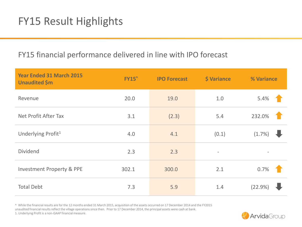## FY15 Result Highlights

#### FY15 financial performance delivered in line with IPO forecast

| <b>Year Ended 31 March 2015</b><br><b>Unaudited</b> \$m | <b>FY15</b> | <b>IPO Forecast</b> | <b>\$ Variance</b> | % Variance |
|---------------------------------------------------------|-------------|---------------------|--------------------|------------|
| Revenue                                                 | 20.0        | 19.0                | 1.0                | 5.4%       |
| Net Profit After Tax                                    | 3.1         | (2.3)               | 5.4                | 232.0%     |
| Underlying Profit <sup>1</sup>                          | 4.0         | 4.1                 | (0.1)              | (1.7%      |
| <b>Dividend</b>                                         | 2.3         | 2.3                 |                    |            |
| <b>Investment Property &amp; PPE</b>                    | 302.1       | 300.0               | 2.1                | 0.7%       |
| <b>Total Debt</b>                                       | 7.3         | 5.9                 | 1.4                | (22.9%     |

^ While the financial results are for the 12 months ended 31 March 2015, acquisition of the assets occurred on 17 December 2014 and the FY2015 unaudited financial results reflect the village operations since then. Prior to 17 December 2014, the principal assets were cash at bank.

1. Underlying Profit is a non-GAAP financial measure.

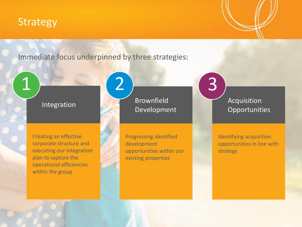#### Strategy

Immediate focus underpinned by three strategies:

 $\begin{pmatrix} 2 \end{pmatrix}$  (3

#### Integration

Creating an effective corporate structure and executing our integration plan to capture the operational efficiencies within the group

Brownfield Development

Progressing identified development opportunities within our existing properties

Acquisition **Opportunities** 

Identifying acquisition opportunities in line with strategy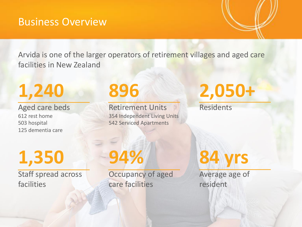#### Business Overview

Arvida is one of the larger operators of retirement villages and aged care facilities in New Zealand

# **1,240**

Aged care beds 612 rest home 503 hospital 125 dementia care

# **896**

Retirement Units 354 Independent Living Units 542 Serviced Apartments

# **2,050+**

Residents

**1,350**

Staff spread across facilities

# **94%**

Occupancy of aged care facilities

**84 yrs**

Average age of resident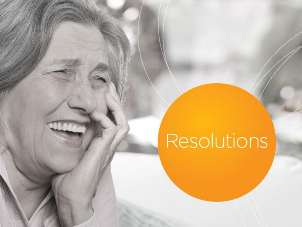# Resolutions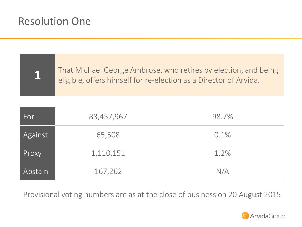## Resolution One

**1**

That Michael George Ambrose, who retires by election, and being eligible, offers himself for re-election as a Director of Arvida.

| For                  | 88,457,967 | 98.7% |
|----------------------|------------|-------|
| Against              | 65,508     | 0.1%  |
| Proxy                | 1,110,151  | 1.2%  |
| Abstain <sup> </sup> | 167,262    | N/A   |

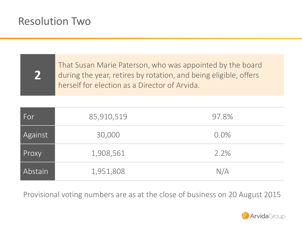## Resolution Two

**2**

That Susan Marie Paterson, who was appointed by the board during the year, retires by rotation, and being eligible, offers herself for election as a Director of Arvida.

| For     | 85,910,519 | 97.8%   |
|---------|------------|---------|
| Against | 30,000     | $0.0\%$ |
| Proxy   | 1,908,561  | 2.2%    |
| Abstain | 1,951,808  | N/A     |

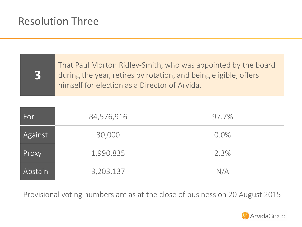## Resolution Three

**3**

That Paul Morton Ridley-Smith, who was appointed by the board during the year, retires by rotation, and being eligible, offers himself for election as a Director of Arvida.

| For            | 84,576,916 | 97.7%   |
|----------------|------------|---------|
| Against        | 30,000     | $0.0\%$ |
| Proxy          | 1,990,835  | 2.3%    |
| <b>Abstain</b> | 3,203,137  | N/A     |

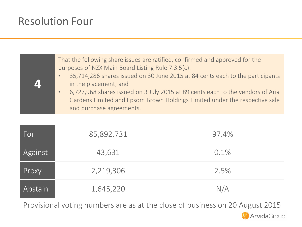## Resolution Four

**4** That the following share issues are ratified, confirmed and approved for the purposes of NZX Main Board Listing Rule 7.3.5(c): • 35,714,286 shares issued on 30 June 2015 at 84 cents each to the participants in the placement; and • 6,727,968 shares issued on 3 July 2015 at 89 cents each to the vendors of Aria Gardens Limited and Epsom Brown Holdings Limited under the respective sale and purchase agreements.

| For     | 85,892,731 | 97.4% |
|---------|------------|-------|
| Against | 43,631     | 0.1%  |
| Proxy   | 2,219,306  | 2.5%  |
| Abstain | 1,645,220  | N/A   |

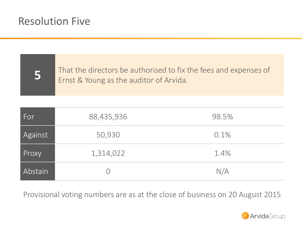## Resolution Five

**5**

That the directors be authorised to fix the fees and expenses of Ernst & Young as the auditor of Arvida.

| /For           | 88,435,936 | 98.5% |
|----------------|------------|-------|
| Against        | 50,930     | 0.1%  |
| Proxy          | 1,314,022  | 1.4%  |
| <b>Abstain</b> |            | N/A   |